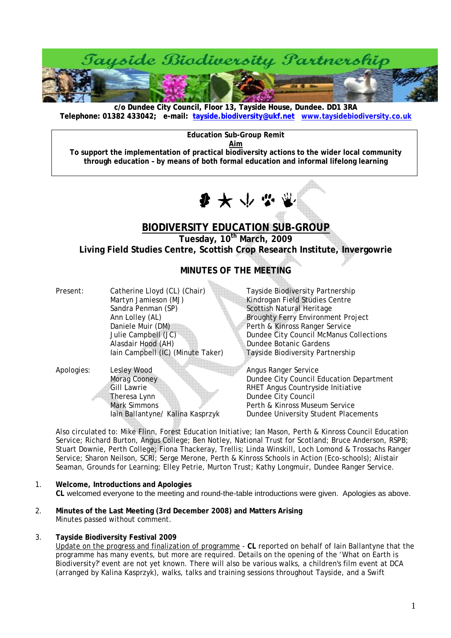

**c/o Dundee City Council, Floor 13, Tayside House, Dundee. DD1 3RA [Telephone: 01382 433042; e-mail: tayside.biodiversity@ukf.net](mailto:tayside.biodiversity@ukf.net) www.taysidebiodiversity.co.u[k](http://www.taysidebiodiversity.co.uk/)**

**Education Sub-Group Remit** 

**Aim To support the implementation of practical biodiversity actions to the wider local community through education – by means of both formal education and informal lifelong learning** 



# **BIODIVERSITY EDUCATION SUB-GROUP**

**Tuesday, 10th March, 2009** 

 $\alpha_{\rm{max}}$ 

**Living Field Studies Centre, Scottish Crop Research Institute, Invergowrie** 

## **MINUTES OF THE MEETING**

| Present:   | Catherine Lloyd (CL) (Chair)<br>Martyn Jamieson (MJ)<br>Sandra Penman (SP)<br>Ann Lolley (AL)<br>Daniele Muir (DM)<br>Julie Campbell (JC)<br>Alasdair Hood (AH)<br>lain Campbell (IC) (Minute Taker) | Tayside Biodiversity Partnership<br>Kindrogan Field Studies Centre<br>Scottish Natural Heritage<br><b>Broughty Ferry Environment Project</b><br>Perth & Kinross Ranger Service<br>Dundee City Council McManus Collections<br>Dundee Botanic Gardens<br>Tayside Biodiversity Partnership |
|------------|------------------------------------------------------------------------------------------------------------------------------------------------------------------------------------------------------|-----------------------------------------------------------------------------------------------------------------------------------------------------------------------------------------------------------------------------------------------------------------------------------------|
| Apologies: | <b>Lesley Wood</b><br>Morag Cooney<br><b>Gill Lawrie</b><br>Theresa Lynn<br><b>Mark Simmons</b><br>lain Ballantyne/ Kalina Kasprzyk                                                                  | Angus Ranger Service<br>Dundee City Council Education Department<br>RHET Angus Countryside Initiative<br>Dundee City Council<br>Perth & Kinross Museum Service<br>Dundee University Student Placements                                                                                  |

Also circulated to: Mike Flinn, Forest Education Initiative; Ian Mason, Perth & Kinross Council Education Service; Richard Burton, Angus College; Ben Notley, National Trust for Scotland; Bruce Anderson, RSPB; Stuart Downie, Perth College; Fiona Thackeray, Trellis; Linda Winskill, Loch Lomond & Trossachs Ranger Service; Sharon Neilson, SCRI; Serge Merone, Perth & Kinross Schools in Action (Eco-schools); Alistair Seaman, Grounds for Learning; Elley Petrie, Murton Trust; Kathy Longmuir, Dundee Ranger Service.

- 1. **Welcome, Introductions and Apologies CL** welcomed everyone to the meeting and round-the-table introductions were given. Apologies as above.
- 2. **Minutes of the Last Meeting (3rd December 2008) and Matters Arising**  Minutes passed without comment.
- 3. **Tayside Biodiversity Festival 2009**

Update on the progress and finalization of programme - **CL** reported on behalf of Iain Ballantyne that the programme has many events, but more are required. Details on the opening of the 'What on Earth is Biodiversity?' event are not yet known. There will also be various walks, a children's film event at DCA (arranged by Kalina Kasprzyk), walks, talks and training sessions throughout Tayside, and a Swift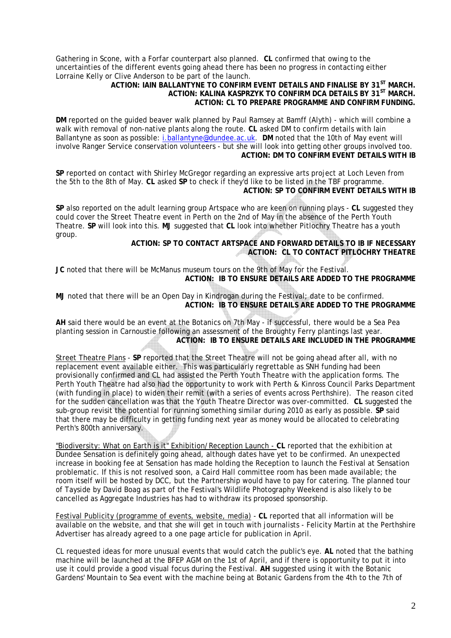Gathering in Scone, with a Forfar counterpart also planned. **CL** confirmed that owing to the uncertainties of the different events going ahead there has been no progress in contacting either Lorraine Kelly or Clive Anderson to be part of the launch.

## **ACTION: IAIN BALLANTYNE TO CONFIRM EVENT DETAILS AND FINALISE BY 31ST MARCH. ACTION: KALINA KASPRZYK TO CONFIRM DCA DETAILS BY 31ST MARCH. ACTION: CL TO PREPARE PROGRAMME AND CONFIRM FUNDING.**

**DM** reported on the guided beaver walk planned by Paul Ramsey at Bamff (Alyth) - which will combine a walk with removal of non-native plants along the route. **CL** asked DM to confirm details with Iain Ballantyne as soon as possible: [i.ballantyne@dundee.ac.uk.](mailto:i.ballantyne@dundee.ac.uk) **DM** noted that the 10th of May event will involve Ranger Service conservation volunteers - but she will look into getting other groups involved too. **ACTION: DM TO CONFIRM EVENT DETAILS WITH IB** 

**SP** reported on contact with Shirley McGregor regarding an expressive arts project at Loch Leven from the 5th to the 8th of May. **CL** asked **SP** to check if they'd like to be listed in the TBF programme. **ACTION: SP TO CONFIRM EVENT DETAILS WITH IB** 

**SP** also reported on the adult learning group Artspace who are keen on running plays - **CL** suggested they could cover the Street Theatre event in Perth on the 2nd of May in the absence of the Perth Youth Theatre. **SP** will look into this. **MJ** suggested that **CL** look into whether Pitlochry Theatre has a youth group.

**ACTION: SP TO CONTACT ARTSPACE AND FORWARD DETAILS TO IB IF NECESSARY ACTION: CL TO CONTACT PITLOCHRY THEATRE** 

**JC** noted that there will be McManus museum tours on the 9th of May for the Festival. **ACTION: IB TO ENSURE DETAILS ARE ADDED TO THE PROGRAMME** 

**MJ** noted that there will be an Open Day in Kindrogan during the Festival; date to be confirmed. **ACTION: IB TO ENSURE DETAILS ARE ADDED TO THE PROGRAMME** 

**AH** said there would be an event at the Botanics on 7th May - if successful, there would be a Sea Pea planting session in Carnoustie following an assessment of the Broughty Ferry plantings last year. **ACTION: IB TO ENSURE DETAILS ARE INCLUDED IN THE PROGRAMME** 

Street Theatre Plans - **SP** reported that the Street Theatre will not be going ahead after all, with no replacement event available either. This was particularly regrettable as SNH funding had been provisionally confirmed and CL had assisted the Perth Youth Theatre with the application forms. The Perth Youth Theatre had also had the opportunity to work with Perth & Kinross Council Parks Department (with funding in place) to widen their remit (with a series of events across Perthshire). The reason cited for the sudden cancellation was that the Youth Theatre Director was over-committed. **CL** suggested the sub-group revisit the potential for running something similar during 2010 as early as possible. **SP** said that there may be difficulty in getting funding next year as money would be allocated to celebrating Perth's 800th anniversary.

"Biodiversity: What on Earth is it" Exhibition/Reception Launch - **CL** reported that the exhibition at Dundee Sensation is definitely going ahead, although dates have yet to be confirmed. An unexpected increase in booking fee at Sensation has made holding the Reception to launch the Festival at Sensation problematic. If this is not resolved soon, a Caird Hall committee room has been made available; the room itself will be hosted by DCC, but the Partnership would have to pay for catering. The planned tour of Tayside by David Boag as part of the Festival's Wildlife Photography Weekend is also likely to be cancelled as Aggregate Industries has had to withdraw its proposed sponsorship.

Festival Publicity (programme of events, website, media) - **CL** reported that all information will be available on the website, and that she will get in touch with journalists - Felicity Martin at the Perthshire Advertiser has already agreed to a one page article for publication in April.

CL requested ideas for more unusual events that would catch the public's eye. **AL** noted that the bathing machine will be launched at the BFEP AGM on the 1st of April, and if there is opportunity to put it into use it could provide a good visual focus during the Festival. **AH** suggested using it with the Botanic Gardens' Mountain to Sea event with the machine being at Botanic Gardens from the 4th to the 7th of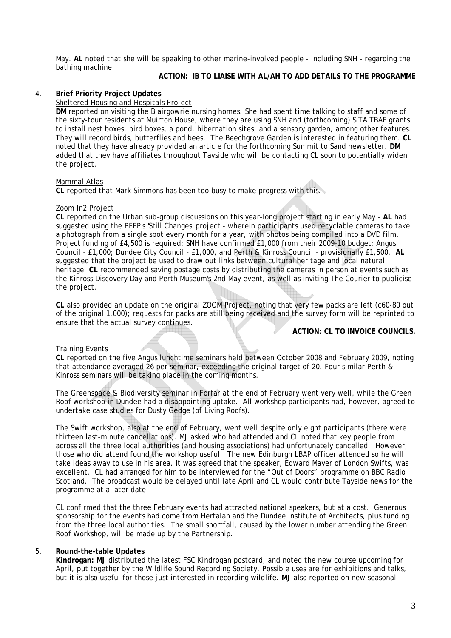May. **AL** noted that she will be speaking to other marine-involved people - including SNH - regarding the bathing machine.

## **ACTION: IB TO LIAISE WITH AL/AH TO ADD DETAILS TO THE PROGRAMME**

## 4. **Brief Priority Project Updates**

## Sheltered Housing and Hospitals Project

**DM** reported on visiting the Blairgowrie nursing homes. She had spent time talking to staff and some of the sixty-four residents at Muirton House, where they are using SNH and (forthcoming) SITA TBAF grants to install nest boxes, bird boxes, a pond, hibernation sites, and a sensory garden, among other features. They will record birds, butterflies and bees. The Beechgrove Garden is interested in featuring them. **CL** noted that they have already provided an article for the forthcoming Summit to Sand newsletter. **DM**  added that they have affiliates throughout Tayside who will be contacting CL soon to potentially widen the project.

#### Mammal Atlas

**CL** reported that Mark Simmons has been too busy to make progress with this.

#### Zoom In2 Project

**CL** reported on the Urban sub-group discussions on this year-long project starting in early May - **AL** had suggested using the BFEP's 'Still Changes' project - wherein participants used recyclable cameras to take a photograph from a single spot every month for a year, with photos being compiled into a DVD film. Project funding of £4,500 is required: SNH have confirmed £1,000 from their 2009-10 budget; Angus Council - £1,000; Dundee City Council - £1,000, and Perth & Kinross Council - provisionally £1,500. **AL** suggested that the project be used to draw out links between cultural heritage and local natural heritage. **CL** recommended saving postage costs by distributing the cameras in person at events such as the Kinross Discovery Day and Perth Museum's 2nd May event, as well as inviting The Courier to publicise the project.

**CL** also provided an update on the original ZOOM Project, noting that very few packs are left (c60-80 out of the original 1,000); requests for packs are still being received and the survey form will be reprinted to ensure that the actual survey continues.

## **ACTION: CL TO INVOICE COUNCILS.**

#### Training Events

**CL** reported on the five Angus lunchtime seminars held between October 2008 and February 2009, noting that attendance averaged 26 per seminar, exceeding the original target of 20. Four similar Perth & Kinross seminars will be taking place in the coming months.

The Greenspace & Biodiversity seminar in Forfar at the end of February went very well, while the Green Roof workshop in Dundee had a disappointing uptake. All workshop participants had, however, agreed to undertake case studies for Dusty Gedge (of Living Roofs).

The Swift workshop, also at the end of February, went well despite only eight participants (there were thirteen last-minute cancellations). MJ asked who had attended and CL noted that key people from across all the three local authorities (and housing associations) had unfortunately cancelled. However, those who did attend found the workshop useful. The new Edinburgh LBAP officer attended so he will take ideas away to use in his area. It was agreed that the speaker, Edward Mayer of London Swifts, was excellent. CL had arranged for him to be interviewed for the "Out of Doors" programme on BBC Radio Scotland. The broadcast would be delayed until late April and CL would contribute Tayside news for the programme at a later date.

CL confirmed that the three February events had attracted national speakers, but at a cost. Generous sponsorship for the events had come from Hertalan and the Dundee Institute of Architects, plus funding from the three local authorities. The small shortfall, caused by the lower number attending the Green Roof Workshop, will be made up by the Partnership.

## 5. **Round-the-table Updates**

**Kindrogan: MJ** distributed the latest FSC Kindrogan postcard, and noted the new course upcoming for April, put together by the Wildlife Sound Recording Society. Possible uses are for exhibitions and talks, but it is also useful for those just interested in recording wildlife. **MJ** also reported on new seasonal